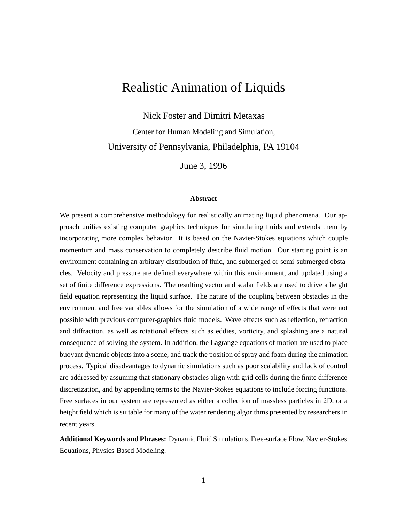# Realistic Animation of Liquids

Nick Foster and Dimitri Metaxas

Center for Human Modeling and Simulation, University of Pennsylvania, Philadelphia, PA 19104

June 3, 1996

#### **Abstract**

We present a comprehensive methodology for realistically animating liquid phenomena. Our approach unifies existing computer graphics techniques for simulating fluids and extends them by incorporating more complex behavior. It is based on the Navier-Stokes equations which couple momentum and mass conservation to completely describe fluid motion. Our starting point is an environment containing an arbitrary distribution of fluid, and submerged or semi-submerged obstacles. Velocity and pressure are defined everywhere within this environment, and updated using a set of finite difference expressions. The resulting vector and scalar fields are used to drive a height field equation representing the liquid surface. The nature of the coupling between obstacles in the environment and free variables allows for the simulation of a wide range of effects that were not possible with previous computer-graphics fluid models. Wave effects such as reflection, refraction and diffraction, as well as rotational effects such as eddies, vorticity, and splashing are a natural consequence of solving the system. In addition, the Lagrange equations of motion are used to place buoyant dynamic objects into a scene, and track the position of spray and foam during the animation process. Typical disadvantages to dynamic simulations such as poor scalability and lack of control are addressed by assuming that stationary obstacles align with grid cells during the finite difference discretization, and by appending terms to the Navier-Stokes equations to include forcing functions. Free surfaces in our system are represented as either a collection of massless particles in 2D, or a height field which is suitable for many of the water rendering algorithms presented by researchers in recent years.

**Additional Keywords and Phrases:** Dynamic Fluid Simulations, Free-surface Flow, Navier-Stokes Equations, Physics-Based Modeling.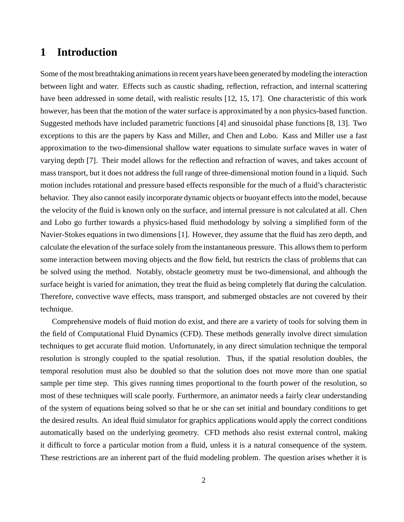# **1 Introduction**

Some of the most breathtaking animations in recent years have been generated by modeling the interaction between light and water. Effects such as caustic shading, reflection, refraction, and internal scattering have been addressed in some detail, with realistic results [12, 15, 17]. One characteristic of this work however, has been that the motion of the water surface is approximated by a non physics-based function. Suggested methods have included parametric functions [4] and sinusoidal phase functions [8, 13]. Two exceptions to this are the papers by Kass and Miller, and Chen and Lobo. Kass and Miller use a fast approximation to the two-dimensional shallow water equations to simulate surface waves in water of varying depth [7]. Their model allows for the reflection and refraction of waves, and takes account of mass transport, but it does not address the full range of three-dimensional motion found in a liquid. Such motion includes rotational and pressure based effects responsible for the much of a fluid's characteristic behavior. They also cannot easily incorporate dynamic objects or buoyant effects into the model, because the velocity of the fluid is known only on the surface, and internal pressure is not calculated at all. Chen and Lobo go further towards a physics-based fluid methodology by solving a simplified form of the Navier-Stokes equations in two dimensions [1]. However, they assume that the fluid has zero depth, and calculate the elevation of the surface solely from the instantaneous pressure. This allows them to perform some interaction between moving objects and the flow field, but restricts the class of problems that can be solved using the method. Notably, obstacle geometry must be two-dimensional, and although the surface height is varied for animation, they treat the fluid as being completely flat during the calculation. Therefore, convective wave effects, mass transport, and submerged obstacles are not covered by their technique.

Comprehensive models of fluid motion do exist, and there are a variety of tools for solving them in the field of Computational Fluid Dynamics (CFD). These methods generally involve direct simulation techniques to get accurate fluid motion. Unfortunately, in any direct simulation technique the temporal resolution is strongly coupled to the spatial resolution. Thus, if the spatial resolution doubles, the temporal resolution must also be doubled so that the solution does not move more than one spatial sample per time step. This gives running times proportional to the fourth power of the resolution, so most of these techniques will scale poorly. Furthermore, an animator needs a fairly clear understanding of the system of equations being solved so that he or she can set initial and boundary conditions to get the desired results. An ideal fluid simulator for graphics applications would apply the correct conditions automatically based on the underlying geometry. CFD methods also resist external control, making it difficult to force a particular motion from a fluid, unless it is a natural consequence of the system. These restrictions are an inherent part of the fluid modeling problem. The question arises whether it is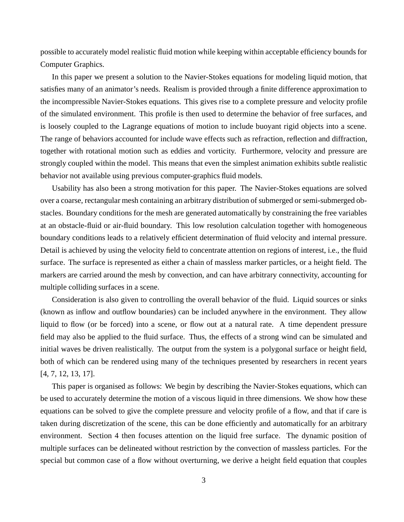possible to accurately model realistic fluid motion while keeping within acceptable efficiency bounds for Computer Graphics.

In this paper we present a solution to the Navier-Stokes equations for modeling liquid motion, that satisfies many of an animator's needs. Realism is provided through a finite difference approximation to the incompressible Navier-Stokes equations. This gives rise to a complete pressure and velocity profile of the simulated environment. This profile is then used to determine the behavior of free surfaces, and is loosely coupled to the Lagrange equations of motion to include buoyant rigid objects into a scene. The range of behaviors accounted for include wave effects such as refraction, reflection and diffraction, together with rotational motion such as eddies and vorticity. Furthermore, velocity and pressure are strongly coupled within the model. This means that even the simplest animation exhibits subtle realistic behavior not available using previous computer-graphics fluid models.

Usability has also been a strong motivation for this paper. The Navier-Stokes equations are solved over a coarse, rectangular mesh containing an arbitrary distribution of submerged or semi-submerged obstacles. Boundary conditions for the mesh are generated automatically by constraining the free variables at an obstacle-fluid or air-fluid boundary. This low resolution calculation together with homogeneous boundary conditions leads to a relatively efficient determination of fluid velocity and internal pressure. Detail is achieved by using the velocity field to concentrate attention on regions of interest, i.e., the fluid surface. The surface is represented as either a chain of massless marker particles, or a height field. The markers are carried around the mesh by convection, and can have arbitrary connectivity, accounting for multiple colliding surfaces in a scene.

Consideration is also given to controlling the overall behavior of the fluid. Liquid sources or sinks (known as inflow and outflow boundaries) can be included anywhere in the environment. They allow liquid to flow (or be forced) into a scene, or flow out at a natural rate. A time dependent pressure field may also be applied to the fluid surface. Thus, the effects of a strong wind can be simulated and initial waves be driven realistically. The output from the system is a polygonal surface or height field, both of which can be rendered using many of the techniques presented by researchers in recent years [4, 7, 12, 13, 17].

This paper is organised as follows: We begin by describing the Navier-Stokes equations, which can be used to accurately determine the motion of a viscous liquid in three dimensions. We show how these equations can be solved to give the complete pressure and velocity profile of a flow, and that if care is taken during discretization of the scene, this can be done efficiently and automatically for an arbitrary environment. Section 4 then focuses attention on the liquid free surface. The dynamic position of multiple surfaces can be delineated without restriction by the convection of massless particles. For the special but common case of a flow without overturning, we derive a height field equation that couples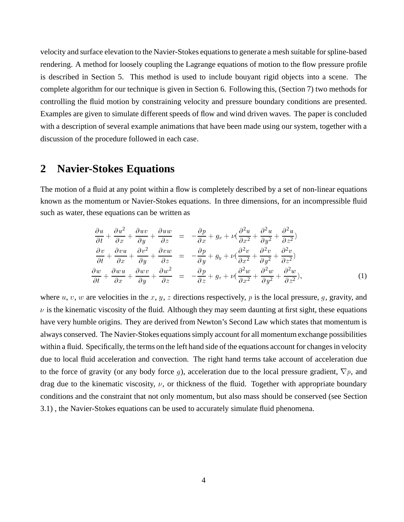velocity and surface elevation to the Navier-Stokes equations to generate a mesh suitable for spline-based rendering. A method for loosely coupling the Lagrange equations of motion to the flow pressure profile is described in Section 5. This method is used to include bouyant rigid objects into a scene. The complete algorithm for our technique is given in Section 6. Following this, (Section 7) two methods for controlling the fluid motion by constraining velocity and pressure boundary conditions are presented. Examples are given to simulate different speeds of flow and wind driven waves. The paper is concluded with a description of several example animations that have been made using our system, together with a discussion of the procedure followed in each case.

## **2 Navier-Stokes Equations**

The motion of a fluid at any point within a flow is completely described by a set of non-linear equations known as the momentum or Navier-Stokes equations. In three dimensions, for an incompressible fluid such as water, these equations can be written as

$$
\frac{\partial u}{\partial t} + \frac{\partial u^2}{\partial x} + \frac{\partial uv}{\partial y} + \frac{\partial uv}{\partial z} = -\frac{\partial p}{\partial x} + g_x + \nu(\frac{\partial^2 u}{\partial x^2} + \frac{\partial^2 u}{\partial y^2} + \frac{\partial^2 u}{\partial z^2})
$$
\n
$$
\frac{\partial v}{\partial t} + \frac{\partial vu}{\partial x} + \frac{\partial v^2}{\partial y} + \frac{\partial vw}{\partial z} = -\frac{\partial p}{\partial y} + g_y + \nu(\frac{\partial^2 v}{\partial x^2} + \frac{\partial^2 v}{\partial y^2} + \frac{\partial^2 v}{\partial z^2})
$$
\n
$$
\frac{\partial w}{\partial t} + \frac{\partial w u}{\partial x} + \frac{\partial w v}{\partial y} + \frac{\partial w^2}{\partial z} = -\frac{\partial p}{\partial z} + g_z + \nu(\frac{\partial^2 w}{\partial x^2} + \frac{\partial^2 w}{\partial y^2} + \frac{\partial^2 w}{\partial z^2}),
$$
\n(1)

where  $u, v, w$  are velocities in the  $x, y, z$  directions respectively, p is the local pressure, g, gravity, and  $\nu$  is the kinematic viscosity of the fluid. Although they may seem daunting at first sight, these equations have very humble origins. They are derived from Newton's Second Law which states that momentum is always conserved. The Navier-Stokes equations simply account for all momentum exchange possibilities within a fluid. Specifically, the terms on the left hand side of the equations account for changes in velocity due to local fluid acceleration and convection. The right hand terms take account of acceleration due to the force of gravity (or any body force g), acceleration due to the local pressure gradient,  $\nabla p$ , and drag due to the kinematic viscosity,  $\nu$ , or thickness of the fluid. Together with appropriate boundary conditions and the constraint that not only momentum, but also mass should be conserved (see Section 3.1) , the Navier-Stokes equations can be used to accurately simulate fluid phenomena.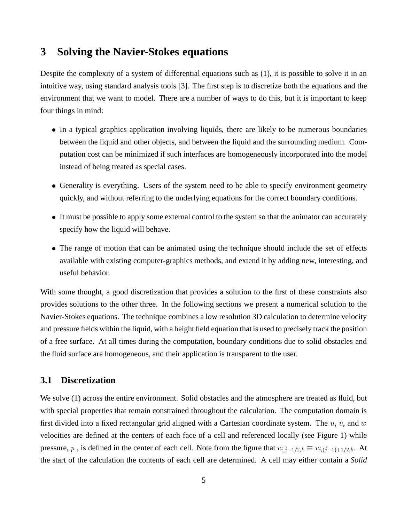# **3 Solving the Navier-Stokes equations**

Despite the complexity of a system of differential equations such as (1), it is possible to solve it in an intuitive way, using standard analysis tools [3]. The first step is to discretize both the equations and the environment that we want to model. There are a number of ways to do this, but it is important to keep four things in mind:

- In a typical graphics application involving liquids, there are likely to be numerous boundaries between the liquid and other objects, and between the liquid and the surrounding medium. Computation cost can be minimized if such interfaces are homogeneously incorporated into the model instead of being treated as special cases.
- Generality is everything. Users of the system need to be able to specify environment geometry quickly, and without referring to the underlying equations for the correct boundary conditions.
- It must be possible to apply some external control to the system so that the animator can accurately specify how the liquid will behave.
- The range of motion that can be animated using the technique should include the set of effects available with existing computer-graphics methods, and extend it by adding new, interesting, and useful behavior.

With some thought, a good discretization that provides a solution to the first of these constraints also provides solutions to the other three. In the following sections we present a numerical solution to the Navier-Stokes equations. The technique combines a low resolution 3D calculation to determine velocity and pressure fields within the liquid, with a height field equation that is used to precisely track the position of a free surface. At all times during the computation, boundary conditions due to solid obstacles and the fluid surface are homogeneous, and their application is transparent to the user.

### **3.1 Discretization**

We solve (1) across the entire environment. Solid obstacles and the atmosphere are treated as fluid, but with special properties that remain constrained throughout the calculation. The computation domain is first divided into a fixed rectangular grid aligned with a Cartesian coordinate system. The  $u, v,$  and  $w$ velocities are defined at the centers of each face of a cell and referenced locally (see Figure 1) while pressure, p, is defined in the center of each cell. Note from the figure that  $v_{i,j-1/2,k} \equiv v_{i,(j-1)+1/2,k}$ . At the start of the calculation the contents of each cell are determined. A cell may either contain a *Solid*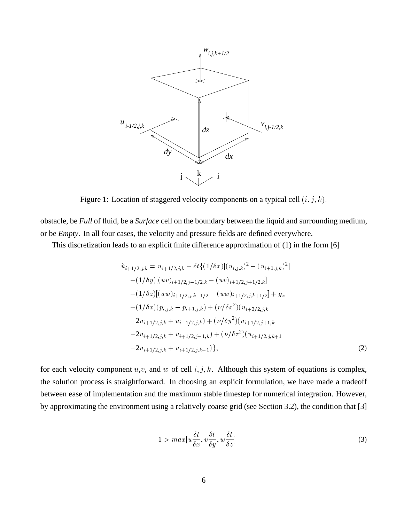

Figure 1: Location of staggered velocity components on a typical cell  $(i, j, k)$ .

obstacle, be *Full* of fluid, be a *Surface* cell on the boundary between the liquid and surrounding medium, or be *Empty*. In all four cases, the velocity and pressure fields are defined everywhere.

This discretization leads to an explicit finite difference approximation of (1) in the form [6]

$$
\tilde{u}_{i+1/2,j,k} = u_{i+1/2,j,k} + \delta t \{ (1/\delta x) [ (u_{i,j,k})^2 - (u_{i+1,j,k})^2 ] \n+ (1/\delta y) [ (uv)_{i+1/2,j-1/2,k} - (uv)_{i+1/2,j+1/2,k}] \n+ (1/\delta z) [ (uw)_{i+1/2,j,k-1/2} - (uw)_{i+1/2,j,k+1/2} ] + g_x \n+ (1/\delta x) (p_{i,j,k} - p_{i+1,j,k}) + (\nu/\delta x^2) (u_{i+3/2,j,k} \n- 2u_{i+1/2,j,k} + u_{i-1/2,j,k}) + (\nu/\delta y^2) (u_{i+1/2,j+1,k} \n- 2u_{i+1/2,j,k} + u_{i+1/2,j-1,k}) + (\nu/\delta z^2) (u_{i+1/2,j,k+1} \n- 2u_{i+1/2,j,k} + u_{i+1/2,j,k-1}) \},
$$
\n(2)

for each velocity component  $u,v$ , and w of cell  $i, j, k$ . Although this system of equations is complex, the solution process is straightforward. In choosing an explicit formulation, we have made a tradeoff between ease of implementation and the maximum stable timestep for numerical integration. However, by approximating the environment using a relatively coarse grid (see Section 3.2), the condition that [3]

$$
1 > \max[u\frac{\delta t}{\delta x}, v\frac{\delta t}{\delta y}, w\frac{\delta t}{\delta z}]
$$
\n(3)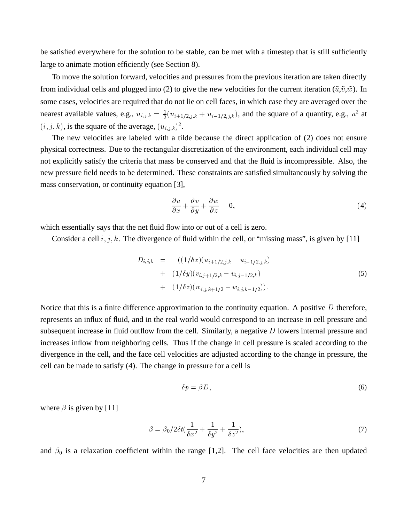be satisfied everywhere for the solution to be stable, can be met with a timestep that is still sufficiently large to animate motion efficiently (see Section 8).

To move the solution forward, velocities and pressures from the previous iteration are taken directly from individual cells and plugged into (2) to give the new velocities for the current iteration ( $\tilde{u}, \tilde{v}, \tilde{w}$ ). In some cases, velocities are required that do not lie on cell faces, in which case they are averaged over the nearest available values, e.g.,  $u_{i,j,k} = \frac{1}{2}(u_{i+1/2,j,k} + u_{i-1/2,j,k})$ , and the square of a quantity, e.g.,  $u^2$  at  $(i, j, k)$ , is the square of the average,  $(u_{i,j,k})^2$ .

The new velocities are labeled with a tilde because the direct application of (2) does not ensure physical correctness. Due to the rectangular discretization of the environment, each individual cell may not explicitly satisfy the criteria that mass be conserved and that the fluid is incompressible. Also, the new pressure field needs to be determined. These constraints are satisfied simultaneously by solving the mass conservation, or continuity equation [3],

$$
\frac{\partial u}{\partial x} + \frac{\partial v}{\partial y} + \frac{\partial w}{\partial z} = 0,\tag{4}
$$

which essentially says that the net fluid flow into or out of a cell is zero.

Consider a cell  $i, j, k$ . The divergence of fluid within the cell, or "missing mass", is given by [11]

$$
D_{i,j,k} = -((1/\delta x)(u_{i+1/2,j,k} - u_{i-1/2,j,k})
$$
  
+  $(1/\delta y)(v_{i,j+1/2,k} - v_{i,j-1/2,k})$   
+  $(1/\delta z)(w_{i,j,k+1/2} - w_{i,j,k-1/2})).$  (5)

Notice that this is a finite difference approximation to the continuity equation. A positive  $D$  therefore, represents an influx of fluid, and in the real world would correspond to an increase in cell pressure and subsequent increase in fluid outflow from the cell. Similarly, a negative  $D$  lowers internal pressure and increases inflow from neighboring cells. Thus if the change in cell pressure is scaled according to the divergence in the cell, and the face cell velocities are adjusted according to the change in pressure, the cell can be made to satisfy (4). The change in pressure for a cell is

$$
\delta p = \beta D,\tag{6}
$$

where  $\beta$  is given by [11]

$$
\beta = \beta_0 / 2\delta t \left(\frac{1}{\delta x^2} + \frac{1}{\delta y^2} + \frac{1}{\delta z^2}\right),\tag{7}
$$

and  $\beta_0$  is a relaxation coefficient within the range [1,2]. The cell face velocities are then updated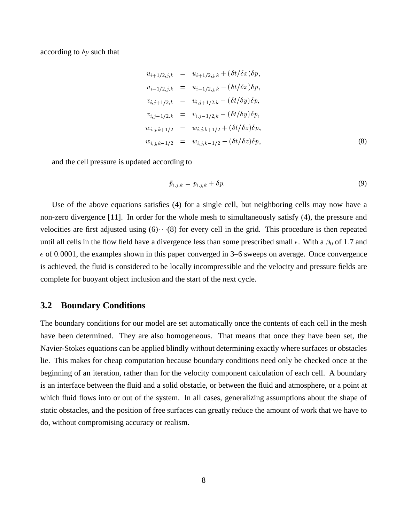according to  $\delta p$  such that

$$
u_{i+1/2,j,k} = u_{i+1/2,j,k} + (\delta t/\delta x) \delta p,
$$
  
\n
$$
u_{i-1/2,j,k} = u_{i-1/2,j,k} - (\delta t/\delta x) \delta p,
$$
  
\n
$$
v_{i,j+1/2,k} = v_{i,j+1/2,k} + (\delta t/\delta y) \delta p,
$$
  
\n
$$
v_{i,j-1/2,k} = v_{i,j-1/2,k} - (\delta t/\delta y) \delta p,
$$
  
\n
$$
w_{i,j,k+1/2} = w_{i,j,k+1/2} + (\delta t/\delta z) \delta p,
$$
  
\n
$$
w_{i,j,k-1/2} = w_{i,j,k-1/2} - (\delta t/\delta z) \delta p,
$$
  
\n(8)

and the cell pressure is updated according to

$$
\tilde{p}_{i,j,k} = p_{i,j,k} + \delta p. \tag{9}
$$

Use of the above equations satisfies (4) for a single cell, but neighboring cells may now have a non-zero divergence [11]. In order for the whole mesh to simultaneously satisfy (4), the pressure and velocities are first adjusted using  $(6)$   $(8)$  for every cell in the grid. This procedure is then repeated until all cells in the flow field have a divergence less than some prescribed small  $\epsilon$ . With a  $\beta_0$  of 1.7 and  $\epsilon$  of 0.0001, the examples shown in this paper converged in 3–6 sweeps on average. Once convergence is achieved, the fluid is considered to be locally incompressible and the velocity and pressure fields are complete for buoyant object inclusion and the start of the next cycle.

### **3.2 Boundary Conditions**

The boundary conditions for our model are set automatically once the contents of each cell in the mesh have been determined. They are also homogeneous. That means that once they have been set, the Navier-Stokes equations can be applied blindly without determining exactly where surfaces or obstacles lie. This makes for cheap computation because boundary conditions need only be checked once at the beginning of an iteration, rather than for the velocity component calculation of each cell. A boundary is an interface between the fluid and a solid obstacle, or between the fluid and atmosphere, or a point at which fluid flows into or out of the system. In all cases, generalizing assumptions about the shape of static obstacles, and the position of free surfaces can greatly reduce the amount of work that we have to do, without compromising accuracy or realism.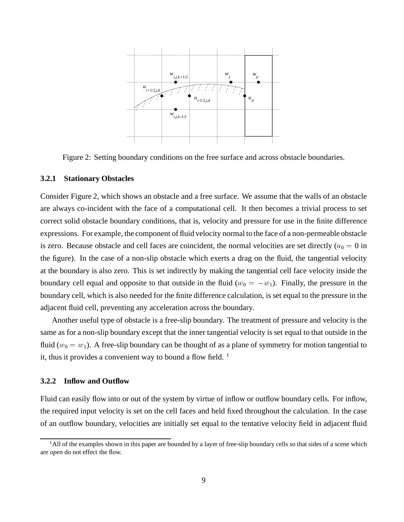

Figure 2: Setting boundary conditions on the free surface and across obstacle boundaries.

#### **3.2.1 Stationary Obstacles**

Consider Figure 2, which shows an obstacle and a free surface. We assume that the walls of an obstacle are always co-incident with the face of a computational cell. It then becomes a trivial process to set correct solid obstacle boundary conditions, that is, velocity and pressure for use in the finite difference expressions. For example, the component of fluid velocity normal to the face of a non-permeable obstacle is zero. Because obstacle and cell faces are coincident, the normal velocities are set directly ( $u_0 = 0$  in the figure). In the case of a non-slip obstacle which exerts a drag on the fluid, the tangential velocity at the boundary is also zero. This is set indirectly by making the tangential cell face velocity inside the boundary cell equal and opposite to that outside in the fluid  $(w_0 = -w_1)$ . Finally, the pressure in the boundary cell, which is also needed for the finite difference calculation, is set equal to the pressure in the adjacent fluid cell, preventing any acceleration across the boundary.

Another useful type of obstacle is a free-slip boundary. The treatment of pressure and velocity is the same as for a non-slip boundary except that the inner tangential velocity is set equal to that outside in the fluid ( $w_0 = w_1$ ). A free-slip boundary can be thought of as a plane of symmetry for motion tangential to it, thus it provides a convenient way to bound a flow field.  $<sup>1</sup>$ </sup>

#### **3.2.2 Inflow and Outflow**

Fluid can easily flow into or out of the system by virtue of inflow or outflow boundary cells. For inflow, the required input velocity is set on the cell faces and held fixed throughout the calculation. In the case of an outflow boundary, velocities are initially set equal to the tentative velocity field in adjacent fluid

 $<sup>1</sup>$ All of the examples shown in this paper are bounded by a layer of free-slip boundary cells so that sides of a scene which</sup> are *open* do not effect the flow.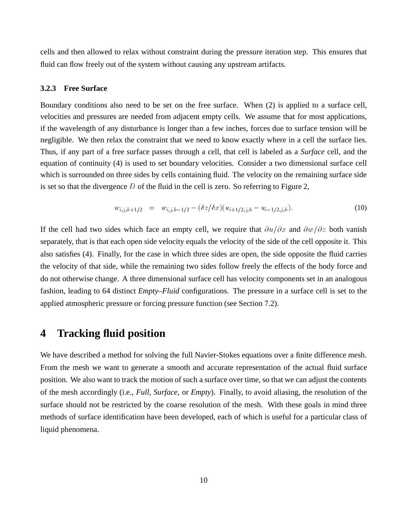cells and then allowed to relax without constraint during the pressure iteration step. This ensures that fluid can flow freely out of the system without causing any upstream artifacts.

#### **3.2.3 Free Surface**

Boundary conditions also need to be set on the free surface. When (2) is applied to a surface cell, velocities and pressures are needed from adjacent empty cells. We assume that for most applications, if the wavelength of any disturbance is longer than a few inches, forces due to surface tension will be negligible. We then relax the constraint that we need to know exactly where in a cell the surface lies. Thus, if any part of a free surface passes through a cell, that cell is labeled as a *Surface* cell, and the equation of continuity (4) is used to set boundary velocities. Consider a two dimensional surface cell which is surrounded on three sides by cells containing fluid. The velocity on the remaining surface side is set so that the divergence  $D$  of the fluid in the cell is zero. So referring to Figure 2,

$$
w_{i,j,k+1/2} = w_{i,j,k-1/2} - (\delta z/\delta x)(u_{i+1/2,j,k} - u_{i-1/2,j,k}). \tag{10}
$$

If the cell had two sides which face an empty cell, we require that  $\partial u/\partial x$  and  $\partial w/\partial z$  both vanish separately, that is that each open side velocity equals the velocity of the side of the cell opposite it. This also satisfies (4). Finally, for the case in which three sides are open, the side opposite the fluid carries the velocity of that side, while the remaining two sides follow freely the effects of the body force and do not otherwise change. A three dimensional surface cell has velocity components set in an analogous fashion, leading to 64 distinct *Empty*–*Fluid* configurations. The pressure in a surface cell is set to the applied atmospheric pressure or forcing pressure function (see Section 7.2).

## **4 Tracking fluid position**

We have described a method for solving the full Navier-Stokes equations over a finite difference mesh. From the mesh we want to generate a smooth and accurate representation of the actual fluid surface position. We also want to track the motion of such a surface over time, so that we can adjust the contents of the mesh accordingly (i.e., *Full*, *Surface*, or *Empty*). Finally, to avoid aliasing, the resolution of the surface should not be restricted by the coarse resolution of the mesh. With these goals in mind three methods of surface identification have been developed, each of which is useful for a particular class of liquid phenomena.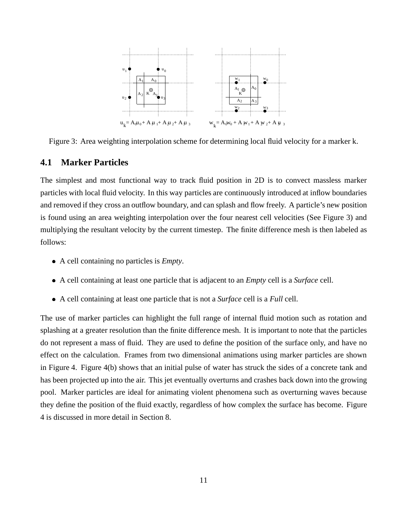

Figure 3: Area weighting interpolation scheme for determining local fluid velocity for a marker k.

### **4.1 Marker Particles**

The simplest and most functional way to track fluid position in 2D is to convect massless marker particles with local fluid velocity. In this way particles are continuously introduced at inflow boundaries and removed if they cross an outflow boundary, and can splash and flow freely. A particle's new position is found using an area weighting interpolation over the four nearest cell velocities (See Figure 3) and multiplying the resultant velocity by the current timestep. The finite difference mesh is then labeled as follows:

- A cell containing no particles is *Empty*.
- A cell containing at least one particle that is adjacent to an *Empty* cell is a *Surface* cell.
- A cell containing at least one particle that is not a *Surface* cell is a *Full* cell.

The use of marker particles can highlight the full range of internal fluid motion such as rotation and splashing at a greater resolution than the finite difference mesh. It is important to note that the particles do not represent a mass of fluid. They are used to define the position of the surface only, and have no effect on the calculation. Frames from two dimensional animations using marker particles are shown in Figure 4. Figure 4(b) shows that an initial pulse of water has struck the sides of a concrete tank and has been projected up into the air. This jet eventually overturns and crashes back down into the growing pool. Marker particles are ideal for animating violent phenomena such as overturning waves because they define the position of the fluid exactly, regardless of how complex the surface has become. Figure 4 is discussed in more detail in Section 8.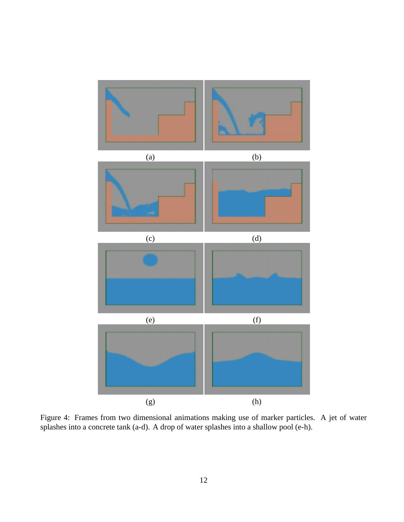

Figure 4: Frames from two dimensional animations making use of marker particles. A jet of water splashes into a concrete tank (a-d). A drop of water splashes into a shallow pool (e-h).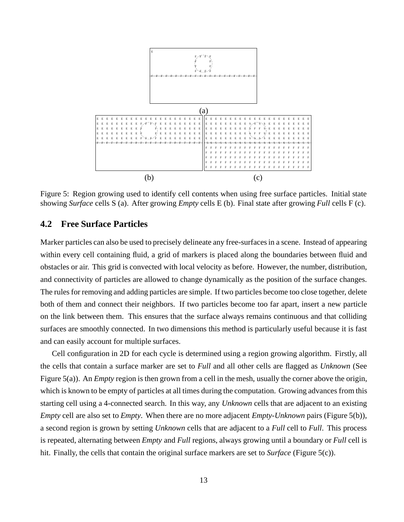

Figure 5: Region growing used to identify cell contents when using free surface particles. Initial state showing *Surface* cells S (a). After growing *Empty* cells E (b). Final state after growing *Full* cells F (c).

#### **4.2 Free Surface Particles**

Marker particles can also be used to precisely delineate any free-surfaces in a scene. Instead of appearing within every cell containing fluid, a grid of markers is placed along the boundaries between fluid and obstacles or air. This grid is convected with local velocity as before. However, the number, distribution, and connectivity of particles are allowed to change dynamically as the position of the surface changes. The rules for removing and adding particles are simple. If two particles become too close together, delete both of them and connect their neighbors. If two particles become too far apart, insert a new particle on the link between them. This ensures that the surface always remains continuous and that colliding surfaces are smoothly connected. In two dimensions this method is particularly useful because it is fast and can easily account for multiple surfaces.

Cell configuration in 2D for each cycle is determined using a region growing algorithm. Firstly, all the cells that contain a surface marker are set to *Full* and all other cells are flagged as *Unknown* (See Figure 5(a)). An *Empty* region is then grown from a cell in the mesh, usually the corner above the origin, which is known to be empty of particles at all times during the computation. Growing advances from this starting cell using a 4-connected search. In this way, any *Unknown* cells that are adjacent to an existing *Empty* cell are also set to *Empty*. When there are no more adjacent *Empty*-*Unknown* pairs (Figure 5(b)), a second region is grown by setting *Unknown* cells that are adjacent to a *Full* cell to *Full*. This process is repeated, alternating between *Empty* and *Full* regions, always growing until a boundary or *Full* cell is hit. Finally, the cells that contain the original surface markers are set to *Surface* (Figure 5(c)).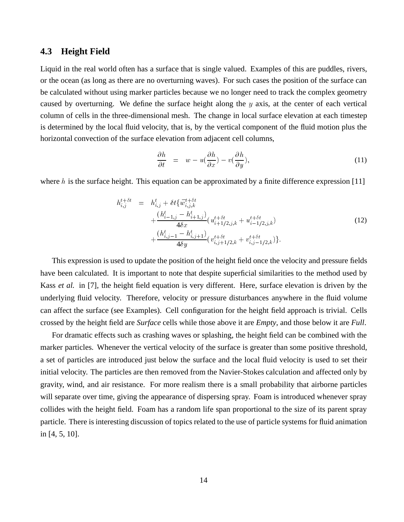### **4.3 Height Field**

Liquid in the real world often has a surface that is single valued. Examples of this are puddles, rivers, or the ocean (as long as there are no overturning waves). For such cases the position of the surface can be calculated without using marker particles because we no longer need to track the complex geometry caused by overturning. We define the surface height along the y axis, at the center of each vertical column of cells in the three-dimensional mesh. The change in local surface elevation at each timestep is determined by the local fluid velocity, that is, by the vertical component of the fluid motion plus the horizontal convection of the surface elevation from adjacent cell columns,

$$
\frac{\partial h}{\partial t} = w - u\left(\frac{\partial h}{\partial x}\right) - v\left(\frac{\partial h}{\partial y}\right),\tag{11}
$$

where  $h$  is the surface height. This equation can be approximated by a finite difference expression [11]

$$
h_{i,j}^{t+\delta t} = h_{i,j}^t + \delta t \{ \bar{w}_{i,j,k}^{t+\delta t} + \frac{(h_{i-1,j}^t - h_{i+1,j}^t)}{4\delta x} (u_{i+1/2,j,k}^{t+\delta t} + u_{i-1/2,j,k}^{t+\delta t}) + \frac{(h_{i,j-1}^t - h_{i,j+1}^t)}{4\delta y} (v_{i,j+1/2,k}^{t+\delta t} + v_{i,j-1/2,k}^{t+\delta t}) \}.
$$
\n
$$
(12)
$$

This expression is used to update the position of the height field once the velocity and pressure fields have been calculated. It is important to note that despite superficial similarities to the method used by Kass *et al.* in [7], the height field equation is very different. Here, surface elevation is driven by the underlying fluid velocity. Therefore, velocity or pressure disturbances anywhere in the fluid volume can affect the surface (see Examples). Cell configuration for the height field approach is trivial. Cells crossed by the height field are *Surface* cells while those above it are *Empty*, and those below it are *Full*.

For dramatic effects such as crashing waves or splashing, the height field can be combined with the marker particles. Whenever the vertical velocity of the surface is greater than some positive threshold, a set of particles are introduced just below the surface and the local fluid velocity is used to set their initial velocity. The particles are then removed from the Navier-Stokes calculation and affected only by gravity, wind, and air resistance. For more realism there is a small probability that airborne particles will separate over time, giving the appearance of dispersing spray. Foam is introduced whenever spray collides with the height field. Foam has a random life span proportional to the size of its parent spray particle. There is interesting discussion of topics related to the use of particle systems for fluid animation in [4, 5, 10].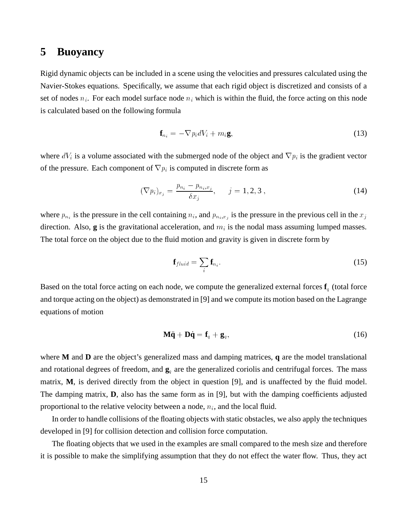## **5 Buoyancy**

Rigid dynamic objects can be included in a scene using the velocities and pressures calculated using the Navier-Stokes equations. Specifically, we assume that each rigid object is discretized and consists of a set of nodes  $n_i$ . For each model surface node  $n_i$  which is within the fluid, the force acting on this node is calculated based on the following formula

$$
\mathbf{f}_{n_i} = -\nabla p_i dV_i + m_i \mathbf{g},\tag{13}
$$

where  $dV_i$  is a volume associated with the submerged node of the object and  $\nabla p_i$  is the gradient vector of the pressure. Each component of  $\nabla p_i$  is computed in discrete form as

$$
(\nabla p_i)_{x_j} = \frac{p_{n_i} - p_{n_i, x_j}}{\delta x_j}, \qquad j = 1, 2, 3,
$$
\n(14)

where  $p_{n_i}$  is the pressure in the cell containing  $n_i$ , and  $p_{n_i,x_j}$  is the pressure in the previous cell in the  $x_j$ direction. Also, **g** is the gravitational acceleration, and  $m_i$  is the nodal mass assuming lumped masses. The total force on the object due to the fluid motion and gravity is given in discrete form by

$$
\mathbf{f}_{fluid} = \sum_{i} \mathbf{f}_{n_i}.
$$
 (15)

Based on the total force acting on each node, we compute the generalized external forces  $f_q$  (total force and torque acting on the object) as demonstrated in [9] and we compute its motion based on the Lagrange equations of motion

$$
\mathbf{M}\ddot{\mathbf{q}} + \mathbf{D}\dot{\mathbf{q}} = \mathbf{f}_q + \mathbf{g}_q, \tag{16}
$$

where **M** and **D** are the object's generalized mass and damping matrices, **q** are the model translational and rotational degrees of freedom, and  $\mathbf{g}_q$  are the generalized coriolis and centrifugal forces. The mass matrix, **M**, is derived directly from the object in question [9], and is unaffected by the fluid model. The damping matrix, **D**, also has the same form as in [9], but with the damping coefficients adjusted proportional to the relative velocity between a node,  $n_i$ , and the local fluid.

In order to handle collisions of the floating objects with static obstacles, we also apply the techniques developed in [9] for collision detection and collision force computation.

The floating objects that we used in the examples are small compared to the mesh size and therefore it is possible to make the simplifying assumption that they do not effect the water flow. Thus, they act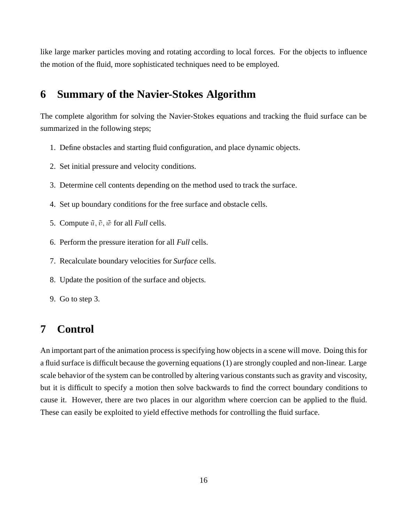like large marker particles moving and rotating according to local forces. For the objects to influence the motion of the fluid, more sophisticated techniques need to be employed.

## **6 Summary of the Navier-Stokes Algorithm**

The complete algorithm for solving the Navier-Stokes equations and tracking the fluid surface can be summarized in the following steps;

- 1. Define obstacles and starting fluid configuration, and place dynamic objects.
- 2. Set initial pressure and velocity conditions.
- 3. Determine cell contents depending on the method used to track the surface.
- 4. Set up boundary conditions for the free surface and obstacle cells.
- 5. Compute  $\tilde{u}, \tilde{v}, \tilde{w}$  for all *Full* cells.
- 6. Perform the pressure iteration for all *Full* cells.
- 7. Recalculate boundary velocities for *Surface* cells.
- 8. Update the position of the surface and objects.
- 9. Go to step 3.

# **7 Control**

An important part of the animation process is specifying how objects in a scene will move. Doing this for a fluid surface is difficult because the governing equations (1) are strongly coupled and non-linear. Large scale behavior of the system can be controlled by altering various constants such as gravity and viscosity, but it is difficult to specify a motion then solve backwards to find the correct boundary conditions to cause it. However, there are two places in our algorithm where coercion can be applied to the fluid. These can easily be exploited to yield effective methods for controlling the fluid surface.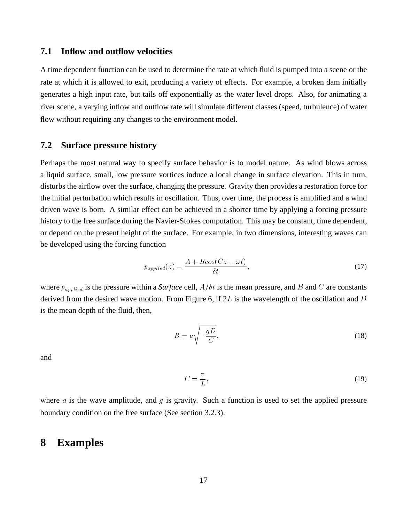#### **7.1 Inflow and outflow velocities**

A time dependent function can be used to determine the rate at which fluid is pumped into a scene or the rate at which it is allowed to exit, producing a variety of effects. For example, a broken dam initially generates a high input rate, but tails off exponentially as the water level drops. Also, for animating a river scene, a varying inflow and outflow rate will simulate different classes (speed, turbulence) of water flow without requiring any changes to the environment model.

### **7.2 Surface pressure history**

Perhaps the most natural way to specify surface behavior is to model nature. As wind blows across a liquid surface, small, low pressure vortices induce a local change in surface elevation. This in turn, disturbs the airflow over the surface, changing the pressure. Gravity then provides a restoration force for the initial perturbation which results in oscillation. Thus, over time, the process is amplified and a wind driven wave is born. A similar effect can be achieved in a shorter time by applying a forcing pressure history to the free surface during the Navier-Stokes computation. This may be constant, time dependent, or depend on the present height of the surface. For example, in two dimensions, interesting waves can be developed using the forcing function

$$
p_{applied}(z) = \frac{A + B\cos(Cz - \omega t)}{\delta t},\tag{17}
$$

where  $p_{applied}$  is the pressure within a *Surface* cell,  $A/\delta t$  is the mean pressure, and B and C are constants derived from the desired wave motion. From Figure 6, if  $2L$  is the wavelength of the oscillation and D is the mean depth of the fluid, then,

$$
B = a \sqrt{-\frac{gD}{C}},\tag{18}
$$

and

$$
C = \frac{\pi}{L},\tag{19}
$$

where  $\alpha$  is the wave amplitude, and  $\alpha$  is gravity. Such a function is used to set the applied pressure boundary condition on the free surface (See section 3.2.3).

## **8 Examples**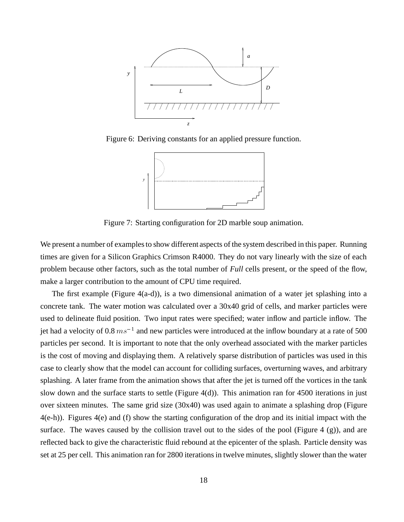

Figure 6: Deriving constants for an applied pressure function.



Figure 7: Starting configuration for 2D marble soup animation.

We present a number of examples to show different aspects of the system described in this paper. Running times are given for a Silicon Graphics Crimson R4000. They do not vary linearly with the size of each problem because other factors, such as the total number of *Full* cells present, or the speed of the flow, make a larger contribution to the amount of CPU time required.

The first example (Figure 4(a-d)), is a two dimensional animation of a water jet splashing into a concrete tank. The water motion was calculated over a 30x40 grid of cells, and marker particles were used to delineate fluid position. Two input rates were specified; water inflow and particle inflow. The jet had a velocity of 0.8  $ms^{-1}$  and new particles were introduced at the inflow boundary at a rate of 500 particles per second. It is important to note that the only overhead associated with the marker particles is the cost of moving and displaying them. A relatively sparse distribution of particles was used in this case to clearly show that the model can account for colliding surfaces, overturning waves, and arbitrary splashing. A later frame from the animation shows that after the jet is turned off the vortices in the tank slow down and the surface starts to settle (Figure 4(d)). This animation ran for 4500 iterations in just over sixteen minutes. The same grid size (30x40) was used again to animate a splashing drop (Figure 4(e-h)). Figures 4(e) and (f) show the starting configuration of the drop and its initial impact with the surface. The waves caused by the collision travel out to the sides of the pool (Figure 4  $(g)$ ), and are reflected back to give the characteristic fluid rebound at the epicenter of the splash. Particle density was set at 25 per cell. This animation ran for 2800 iterations in twelve minutes, slightly slower than the water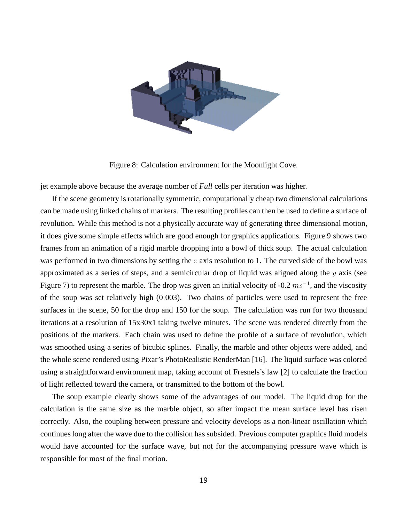

Figure 8: Calculation environment for the Moonlight Cove.

jet example above because the average number of *Full* cells per iteration was higher.

If the scene geometry is rotationally symmetric, computationally cheap two dimensional calculations can be made using linked chains of markers. The resulting profiles can then be used to define a surface of revolution. While this method is not a physically accurate way of generating three dimensional motion, it does give some simple effects which are good enough for graphics applications. Figure 9 shows two frames from an animation of a rigid marble dropping into a bowl of thick soup. The actual calculation was performed in two dimensions by setting the  $z$  axis resolution to 1. The curved side of the bowl was approximated as a series of steps, and a semicircular drop of liquid was aligned along the  $y$  axis (see Figure 7) to represent the marble. The drop was given an initial velocity of -0.2  $ms^{-1}$ , and the viscosity of the soup was set relatively high (0:003). Two chains of particles were used to represent the free surfaces in the scene, 50 for the drop and 150 for the soup. The calculation was run for two thousand iterations at a resolution of 15x30x1 taking twelve minutes. The scene was rendered directly from the positions of the markers. Each chain was used to define the profile of a surface of revolution, which was smoothed using a series of bicubic splines. Finally, the marble and other objects were added, and the whole scene rendered using Pixar's PhotoRealistic RenderMan [16]. The liquid surface was colored using a straightforward environment map, taking account of Fresnels's law [2] to calculate the fraction of light reflected toward the camera, or transmitted to the bottom of the bowl.

The soup example clearly shows some of the advantages of our model. The liquid drop for the calculation is the same size as the marble object, so after impact the mean surface level has risen correctly. Also, the coupling between pressure and velocity develops as a non-linear oscillation which continues long after the wave due to the collision has subsided. Previous computer graphics fluid models would have accounted for the surface wave, but not for the accompanying pressure wave which is responsible for most of the final motion.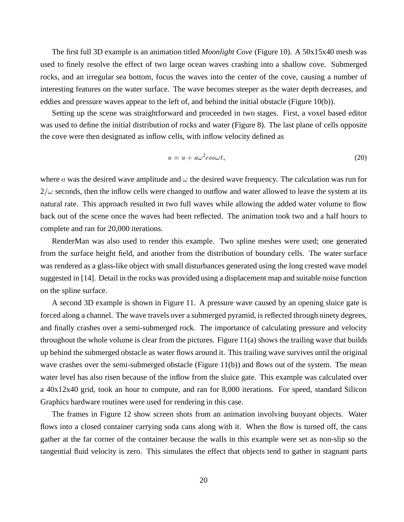The first full 3D example is an animation titled *Moonlight Cove* (Figure 10). A 50x15x40 mesh was used to finely resolve the effect of two large ocean waves crashing into a shallow cove. Submerged rocks, and an irregular sea bottom, focus the waves into the center of the cove, causing a number of interesting features on the water surface. The wave becomes steeper as the water depth decreases, and eddies and pressure waves appear to the left of, and behind the initial obstacle (Figure 10(b)).

Setting up the scene was straightforward and proceeded in two stages. First, a voxel based editor was used to define the initial distribution of rocks and water (Figure 8). The last plane of cells opposite the cove were then designated as inflow cells, with inflow velocity defined as

$$
u = u + a\omega^2 \cos \omega t, \tag{20}
$$

where a was the desired wave amplitude and  $\omega$  the desired wave frequency. The calculation was run for  $2/\omega$  seconds, then the inflow cells were changed to outflow and water allowed to leave the system at its natural rate. This approach resulted in two full waves while allowing the added water volume to flow back out of the scene once the waves had been reflected. The animation took two and a half hours to complete and ran for 20,000 iterations.

RenderMan was also used to render this example. Two spline meshes were used; one generated from the surface height field, and another from the distribution of boundary cells. The water surface was rendered as a glass-like object with small disturbances generated using the long crested wave model suggested in [14]. Detail in the rocks was provided using a displacement map and suitable noise function on the spline surface.

A second 3D example is shown in Figure 11. A pressure wave caused by an opening sluice gate is forced along a channel. The wave travels over a submerged pyramid, is reflected through ninety degrees, and finally crashes over a semi-submerged rock. The importance of calculating pressure and velocity throughout the whole volume is clear from the pictures. Figure 11(a) shows the trailing wave that builds up behind the submerged obstacle as water flows around it. This trailing wave survives until the original wave crashes over the semi-submerged obstacle (Figure  $11(b)$ ) and flows out of the system. The mean water level has also risen because of the inflow from the sluice gate. This example was calculated over a 40x12x40 grid, took an hour to compute, and ran for 8,000 iterations. For speed, standard Silicon Graphics hardware routines were used for rendering in this case.

The frames in Figure 12 show screen shots from an animation involving buoyant objects. Water flows into a closed container carrying soda cans along with it. When the flow is turned off, the cans gather at the far corner of the container because the walls in this example were set as non-slip so the tangential fluid velocity is zero. This simulates the effect that objects tend to gather in stagnant parts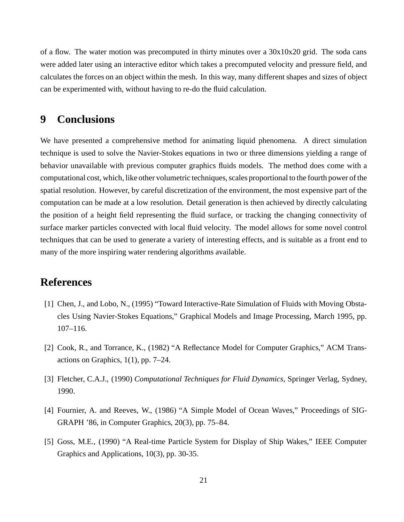of a flow. The water motion was precomputed in thirty minutes over a 30x10x20 grid. The soda cans were added later using an interactive editor which takes a precomputed velocity and pressure field, and calculates the forces on an object within the mesh. In this way, many different shapes and sizes of object can be experimented with, without having to re-do the fluid calculation.

# **9 Conclusions**

We have presented a comprehensive method for animating liquid phenomena. A direct simulation technique is used to solve the Navier-Stokes equations in two or three dimensions yielding a range of behavior unavailable with previous computer graphics fluids models. The method does come with a computational cost, which, like other volumetric techniques, scales proportional to the fourth power of the spatial resolution. However, by careful discretization of the environment, the most expensive part of the computation can be made at a low resolution. Detail generation is then achieved by directly calculating the position of a height field representing the fluid surface, or tracking the changing connectivity of surface marker particles convected with local fluid velocity. The model allows for some novel control techniques that can be used to generate a variety of interesting effects, and is suitable as a front end to many of the more inspiring water rendering algorithms available.

# **References**

- [1] Chen, J., and Lobo, N., (1995) "Toward Interactive-Rate Simulation of Fluids with Moving Obstacles Using Navier-Stokes Equations," Graphical Models and Image Processing, March 1995, pp. 107–116.
- [2] Cook, R., and Torrance, K., (1982) "A Reflectance Model for Computer Graphics," ACM Transactions on Graphics,  $1(1)$ , pp. 7–24.
- [3] Fletcher, C.A.J., (1990) *Computational Techniques for Fluid Dynamics*, Springer Verlag, Sydney, 1990.
- [4] Fournier, A. and Reeves, W., (1986) "A Simple Model of Ocean Waves," Proceedings of SIG-GRAPH '86, in Computer Graphics, 20(3), pp. 75–84.
- [5] Goss, M.E., (1990) "A Real-time Particle System for Display of Ship Wakes," IEEE Computer Graphics and Applications, 10(3), pp. 30-35.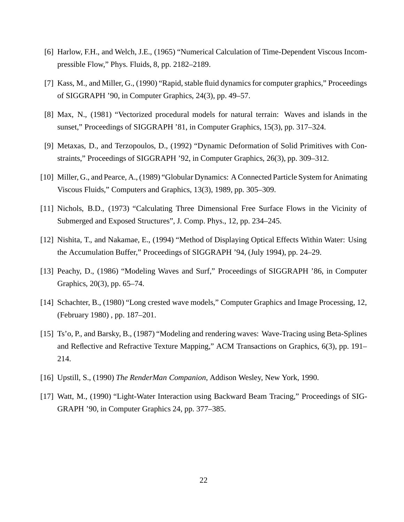- [6] Harlow, F.H., and Welch, J.E., (1965) "Numerical Calculation of Time-Dependent Viscous Incompressible Flow," Phys. Fluids, 8, pp. 2182–2189.
- [7] Kass, M., and Miller, G., (1990) "Rapid, stable fluid dynamics for computer graphics," Proceedings of SIGGRAPH '90, in Computer Graphics, 24(3), pp. 49–57.
- [8] Max, N., (1981) "Vectorized procedural models for natural terrain: Waves and islands in the sunset," Proceedings of SIGGRAPH '81, in Computer Graphics, 15(3), pp. 317–324.
- [9] Metaxas, D., and Terzopoulos, D., (1992) "Dynamic Deformation of Solid Primitives with Constraints," Proceedings of SIGGRAPH '92, in Computer Graphics, 26(3), pp. 309–312.
- [10] Miller, G., and Pearce, A., (1989) "Globular Dynamics: A Connected Particle System for Animating Viscous Fluids," Computers and Graphics, 13(3), 1989, pp. 305–309.
- [11] Nichols, B.D., (1973) "Calculating Three Dimensional Free Surface Flows in the Vicinity of Submerged and Exposed Structures", J. Comp. Phys., 12, pp. 234–245.
- [12] Nishita, T., and Nakamae, E., (1994) "Method of Displaying Optical Effects Within Water: Using the Accumulation Buffer," Proceedings of SIGGRAPH '94, (July 1994), pp. 24–29.
- [13] Peachy, D., (1986) "Modeling Waves and Surf," Proceedings of SIGGRAPH '86, in Computer Graphics, 20(3), pp. 65–74.
- [14] Schachter, B., (1980) "Long crested wave models," Computer Graphics and Image Processing, 12, (February 1980) , pp. 187–201.
- [15] Ts'o, P., and Barsky, B., (1987) "Modeling and rendering waves: Wave-Tracing using Beta-Splines and Reflective and Refractive Texture Mapping," ACM Transactions on Graphics, 6(3), pp. 191– 214.
- [16] Upstill, S., (1990) *The RenderMan Companion*, Addison Wesley, New York, 1990.
- [17] Watt, M., (1990) "Light-Water Interaction using Backward Beam Tracing," Proceedings of SIG-GRAPH '90, in Computer Graphics 24, pp. 377–385.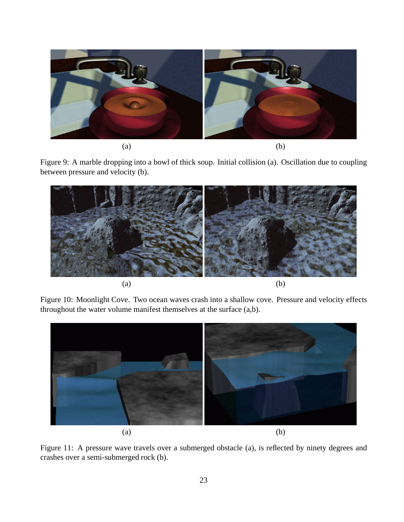

Figure 9: A marble dropping into a bowl of thick soup. Initial collision (a). Oscillation due to coupling between pressure and velocity (b).



Figure 10: Moonlight Cove. Two ocean waves crash into a shallow cove. Pressure and velocity effects throughout the water volume manifest themselves at the surface (a,b).



Figure 11: A pressure wave travels over a submerged obstacle (a), is reflected by ninety degrees and crashes over a semi-submerged rock (b).